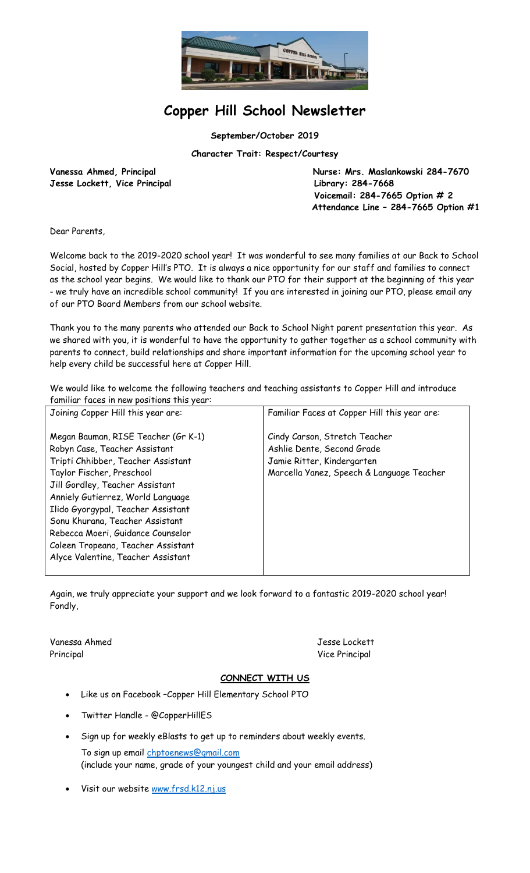

# **Copper Hill School Newsletter**

**September/October 2019**

**Character Trait: Respect/Courtesy**

**Jesse Lockett, Vice Principal Library: 284-7668**

Vanessa Ahmed, Principal **Nurse: Mrs. Maslankowski 284-7670 Voicemail: 284-7665 Option # 2 Attendance Line – 284-7665 Option #1**

Dear Parents,

Welcome back to the 2019-2020 school year! It was wonderful to see many families at our Back to School Social, hosted by Copper Hill's PTO. It is always a nice opportunity for our staff and families to connect as the school year begins. We would like to thank our PTO for their support at the beginning of this year - we truly have an incredible school community! If you are interested in joining our PTO, please email any of our PTO Board Members from our school website.

Thank you to the many parents who attended our Back to School Night parent presentation this year. As we shared with you, it is wonderful to have the opportunity to gather together as a school community with parents to connect, build relationships and share important information for the upcoming school year to help every child be successful here at Copper Hill.

We would like to welcome the following teachers and teaching assistants to Copper Hill and introduce familiar faces in new positions this year:

| Joining Copper Hill this year are:                                                                                                                                                                                                                                                                                                                                                                        | Familiar Faces at Copper Hill this year are:                                                                                           |
|-----------------------------------------------------------------------------------------------------------------------------------------------------------------------------------------------------------------------------------------------------------------------------------------------------------------------------------------------------------------------------------------------------------|----------------------------------------------------------------------------------------------------------------------------------------|
| Megan Bauman, RISE Teacher (Gr K-1)<br>Robyn Case, Teacher Assistant<br>Tripti Chhibber, Teacher Assistant<br>Taylor Fischer, Preschool<br>Jill Gordley, Teacher Assistant<br>Anniely Gutierrez, World Language<br>Ilido Gyorgypal, Teacher Assistant<br>Sonu Khurana, Teacher Assistant<br>Rebecca Moeri, Guidance Counselor<br>Coleen Tropeano, Teacher Assistant<br>Alyce Valentine, Teacher Assistant | Cindy Carson, Stretch Teacher<br>Ashlie Dente, Second Grade<br>Jamie Ritter, Kindergarten<br>Marcella Yanez, Speech & Language Teacher |
|                                                                                                                                                                                                                                                                                                                                                                                                           |                                                                                                                                        |

Again, we truly appreciate your support and we look forward to a fantastic 2019-2020 school year! Fondly,

Vanessa Ahmed Jesse Lockett Principal Vice Principal Vice Principal Vice Principal Vice Principal Vice Principal Vice Principal Vice Principal Vice Principal Vice Principal Vice Principal Vice Principal Vice Principal Vice Principal Vice Principal Vi

#### **CONNECT WITH US**

- Like us on Facebook –Copper Hill Elementary School PTO
- Twitter Handle @CopperHillES
- Sign up for weekly eBlasts to get up to reminders about weekly events. To sign up email [chptoenews@gmail.com](mailto:chptoenews@gmail.com) (include your name, grade of your youngest child and your email address)
- Visit our website [www.frsd.k12.nj.us](http://www.frsd.k12.nj.us/)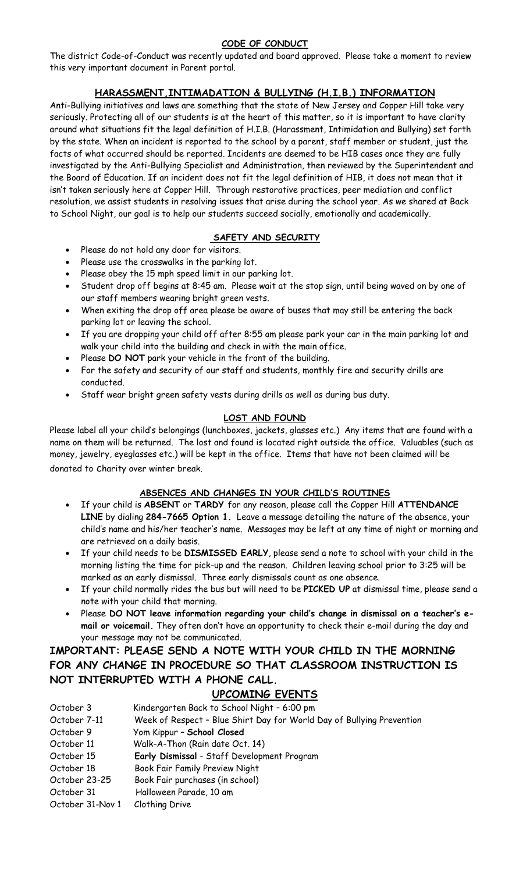#### **CODE OF CONDUCT**

The district Code-of-Conduct was recently updated and board approved. Please take a moment to review this very important document in Parent portal.

### **HARASSMENT,INTIMADATION & BULLYING (H.I.B.) INFORMATION**

Anti-Bullying initiatives and laws are something that the state of New Jersey and Copper Hill take very seriously. Protecting all of our students is at the heart of this matter, so it is important to have clarity around what situations fit the legal definition of H.I.B. (Harassment, Intimidation and Bullying) set forth by the state. When an incident is reported to the school by a parent, staff member or student, just the facts of what occurred should be reported. Incidents are deemed to be HIB cases once they are fully investigated by the Anti-Bullying Specialist and Administration, then reviewed by the Superintendent and the Board of Education. If an incident does not fit the legal definition of HIB, it does not mean that it isn't taken seriously here at Copper Hill. Through restorative practices, peer mediation and conflict resolution, we assist students in resolving issues that arise during the school year. As we shared at Back to School Night, our goal is to help our students succeed socially, emotionally and academically.

#### **SAFETY AND SECURITY**

- Please do not hold any door for visitors.
- Please use the crosswalks in the parking lot.
- Please obey the 15 mph speed limit in our parking lot.
- Student drop off begins at 8:45 am. Please wait at the stop sign, until being waved on by one of our staff members wearing bright green vests.
- When exiting the drop off area please be aware of buses that may still be entering the back parking lot or leaving the school.
- If you are dropping your child off after 8:55 am please park your car in the main parking lot and walk your child into the building and check in with the main office.
- Please **DO NOT** park your vehicle in the front of the building.
- For the safety and security of our staff and students, monthly fire and security drills are conducted.
- Staff wear bright green safety vests during drills as well as during bus duty.

#### **LOST AND FOUND**

Please label all your child's belongings (lunchboxes, jackets, glasses etc.) Any items that are found with a name on them will be returned. The lost and found is located right outside the office. Valuables (such as money, jewelry, eyeglasses etc.) will be kept in the office. Items that have not been claimed will be donated to charity over winter break.

#### **ABSENCES AND CHANGES IN YOUR CHILD'S ROUTINES**

- If your child is **ABSENT** or **TARDY** for any reason, please call the Copper Hill **ATTENDANCE LINE** by dialing **284-7665 Option 1.** Leave a message detailing the nature of the absence, your child's name and his/her teacher's name. Messages may be left at any time of night or morning and are retrieved on a daily basis.
- If your child needs to be **DISMISSED EARLY**, please send a note to school with your child in the morning listing the time for pick-up and the reason. Children leaving school prior to 3:25 will be marked as an early dismissal. Three early dismissals count as one absence.
- If your child normally rides the bus but will need to be **PICKED UP** at dismissal time, please send a note with your child that morning.
- Please **DO NOT leave information regarding your child's change in dismissal on a teacher's email or voicemail.** They often don't have an opportunity to check their e-mail during the day and your message may not be communicated.

## **IMPORTANT: PLEASE SEND A NOTE WITH YOUR CHILD IN THE MORNING FOR ANY CHANGE IN PROCEDURE SO THAT CLASSROOM INSTRUCTION IS NOT INTERRUPTED WITH A PHONE CALL.**

#### **UPCOMING EVENTS**

| October 3        | Kindergarten Back to School Night - 6:00 pm                           |
|------------------|-----------------------------------------------------------------------|
| October 7-11     | Week of Respect - Blue Shirt Day for World Day of Bullying Prevention |
| October 9        | Yom Kippur - School Closed                                            |
| October 11       | Walk-A-Thon (Rain date Oct. 14)                                       |
| October 15       | Early Dismissal - Staff Development Program                           |
| October 18       | Book Fair Family Preview Night                                        |
| October 23-25    | Book Fair purchases (in school)                                       |
| October 31       | Halloween Parade, 10 am                                               |
| October 31-Nov 1 | Clothing Drive                                                        |

October 31-Nov 1 Clothing Drive